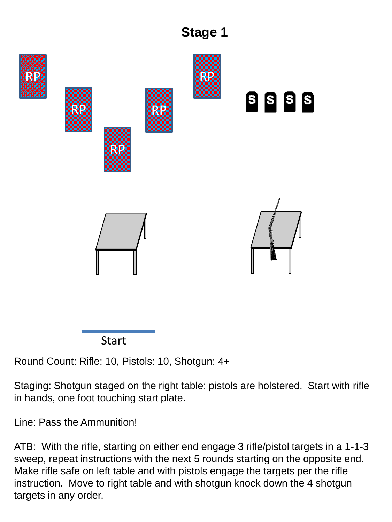



Round Count: Rifle: 10, Pistols: 10, Shotgun: 4+

Staging: Shotgun staged on the right table; pistols are holstered. Start with rifle in hands, one foot touching start plate.

Line: Pass the Ammunition!

ATB: With the rifle, starting on either end engage 3 rifle/pistol targets in a 1-1-3 sweep, repeat instructions with the next 5 rounds starting on the opposite end. Make rifle safe on left table and with pistols engage the targets per the rifle instruction. Move to right table and with shotgun knock down the 4 shotgun targets in any order.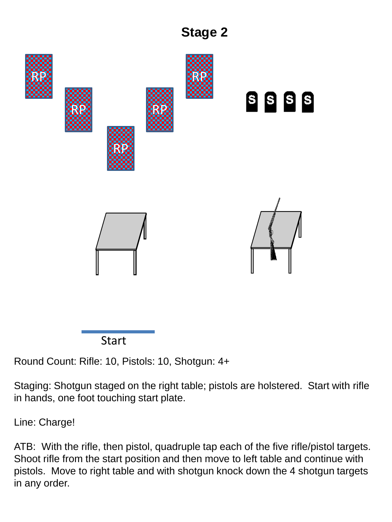



Round Count: Rifle: 10, Pistols: 10, Shotgun: 4+

Staging: Shotgun staged on the right table; pistols are holstered. Start with rifle in hands, one foot touching start plate.

Line: Charge!

ATB: With the rifle, then pistol, quadruple tap each of the five rifle/pistol targets. Shoot rifle from the start position and then move to left table and continue with pistols. Move to right table and with shotgun knock down the 4 shotgun targets in any order.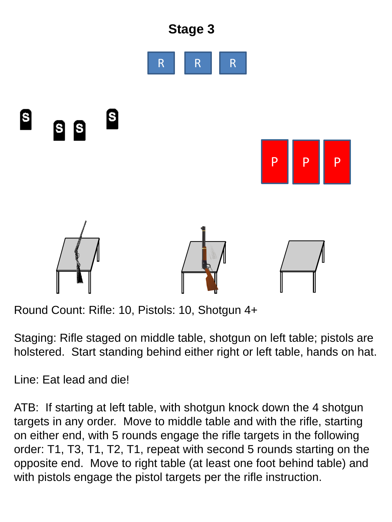

Round Count: Rifle: 10, Pistols: 10, Shotgun 4+

Staging: Rifle staged on middle table, shotgun on left table; pistols are holstered. Start standing behind either right or left table, hands on hat.

Line: Eat lead and die!

ATB: If starting at left table, with shotgun knock down the 4 shotgun targets in any order. Move to middle table and with the rifle, starting on either end, with 5 rounds engage the rifle targets in the following order: T1, T3, T1, T2, T1, repeat with second 5 rounds starting on the opposite end. Move to right table (at least one foot behind table) and with pistols engage the pistol targets per the rifle instruction.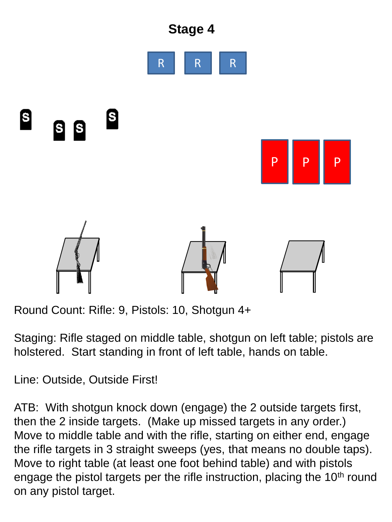

Round Count: Rifle: 9, Pistols: 10, Shotgun 4+

Staging: Rifle staged on middle table, shotgun on left table; pistols are holstered. Start standing in front of left table, hands on table.

Line: Outside, Outside First!

ATB: With shotgun knock down (engage) the 2 outside targets first, then the 2 inside targets. (Make up missed targets in any order.) Move to middle table and with the rifle, starting on either end, engage the rifle targets in 3 straight sweeps (yes, that means no double taps). Move to right table (at least one foot behind table) and with pistols engage the pistol targets per the rifle instruction, placing the 10<sup>th</sup> round on any pistol target.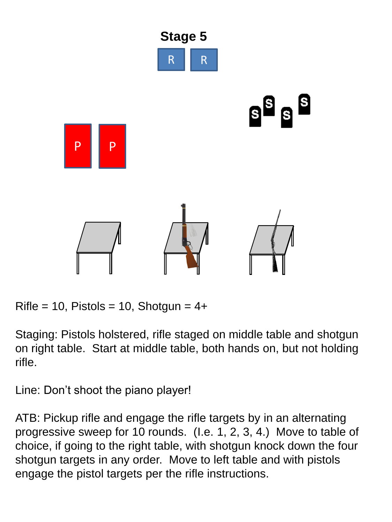

 $Rifle = 10$ , Pistols = 10, Shotgun =  $4+$ 

Staging: Pistols holstered, rifle staged on middle table and shotgun on right table. Start at middle table, both hands on, but not holding rifle.

Line: Don't shoot the piano player!

ATB: Pickup rifle and engage the rifle targets by in an alternating progressive sweep for 10 rounds. (I.e. 1, 2, 3, 4.) Move to table of choice, if going to the right table, with shotgun knock down the four shotgun targets in any order. Move to left table and with pistols engage the pistol targets per the rifle instructions.